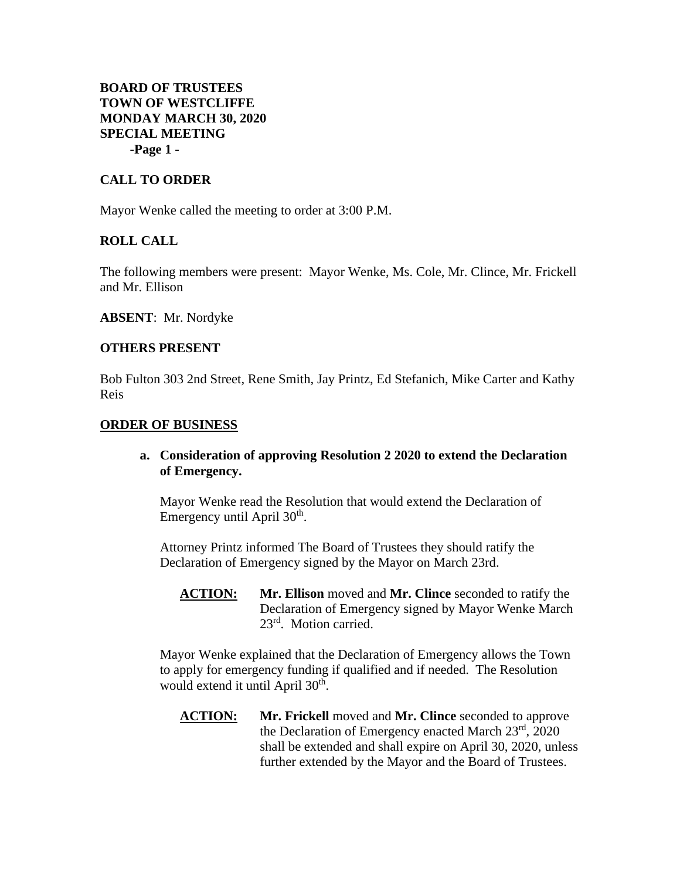# **BOARD OF TRUSTEES TOWN OF WESTCLIFFE MONDAY MARCH 30, 2020 SPECIAL MEETING -Page 1 -**

## **CALL TO ORDER**

Mayor Wenke called the meeting to order at 3:00 P.M.

## **ROLL CALL**

The following members were present: Mayor Wenke, Ms. Cole, Mr. Clince, Mr. Frickell and Mr. Ellison

**ABSENT**: Mr. Nordyke

#### **OTHERS PRESENT**

Bob Fulton 303 2nd Street, Rene Smith, Jay Printz, Ed Stefanich, Mike Carter and Kathy Reis

#### **ORDER OF BUSINESS**

## **a. Consideration of approving Resolution 2 2020 to extend the Declaration of Emergency.**

Mayor Wenke read the Resolution that would extend the Declaration of Emergency until April 30<sup>th</sup>.

Attorney Printz informed The Board of Trustees they should ratify the Declaration of Emergency signed by the Mayor on March 23rd.

**ACTION: Mr. Ellison** moved and **Mr. Clince** seconded to ratify the Declaration of Emergency signed by Mayor Wenke March 23rd. Motion carried.

Mayor Wenke explained that the Declaration of Emergency allows the Town to apply for emergency funding if qualified and if needed. The Resolution would extend it until April 30<sup>th</sup>.

**ACTION: Mr. Frickell** moved and **Mr. Clince** seconded to approve the Declaration of Emergency enacted March  $23<sup>rd</sup>$ , 2020 shall be extended and shall expire on April 30, 2020, unless further extended by the Mayor and the Board of Trustees.